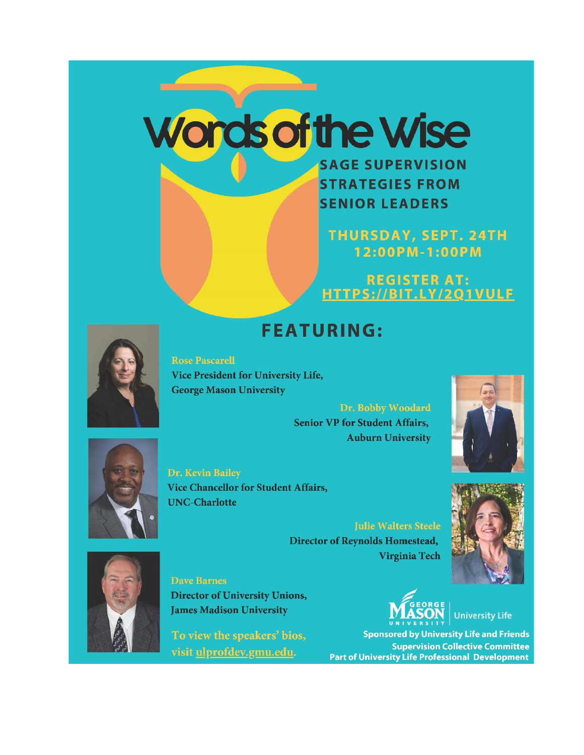# Words of the Wise

**SAGE SUPERVISION STRATEGIES FROM SENIOR LEADERS** 

**THURSDAY, SEPT. 24TH** 12:00 PM-1:00 PM

REGISTER AT:<br>HTTPS://BIT.LY/2Q1VULF

# **FEATURING:**

**Rose Pascarell Vice President for University Life, George Mason University** 

> Dr. Bobby Woodard **Senior VP for Student Affairs, Auburn University**





Dr. Kevin Bailey **Vice Chancellor for Student Affairs, UNC-Charlotte** 

> **Julie Walters Steele Director of Reynolds Homestead,** Virginia Tech



**Dave Barnes Director of University Unions, James Madison University** 

To view the speakers' bios, visit ulprofdev.gmu.edu.



**University Life** 

**Sponsored by University Life and Friends Supervision Collective Committee Part of University Life Professional Development** 

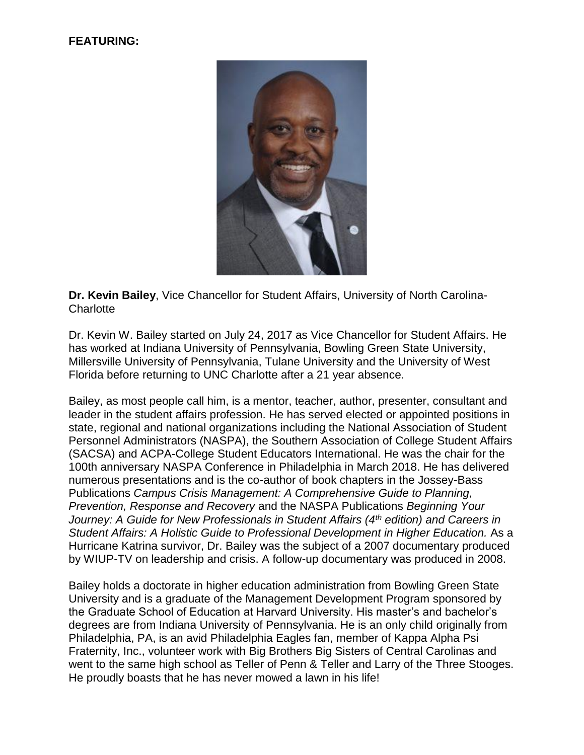#### **FEATURING:**



**Dr. Kevin Bailey**, Vice Chancellor for Student Affairs, University of North Carolina-**Charlotte** 

Dr. Kevin W. Bailey started on July 24, 2017 as Vice Chancellor for Student Affairs. He has worked at Indiana University of Pennsylvania, Bowling Green State University, Millersville University of Pennsylvania, Tulane University and the University of West Florida before returning to UNC Charlotte after a 21 year absence.

Bailey, as most people call him, is a mentor, teacher, author, presenter, consultant and leader in the student affairs profession. He has served elected or appointed positions in state, regional and national organizations including the National Association of Student Personnel Administrators (NASPA), the Southern Association of College Student Affairs (SACSA) and ACPA-College Student Educators International. He was the chair for the 100th anniversary NASPA Conference in Philadelphia in March 2018. He has delivered numerous presentations and is the co-author of book chapters in the Jossey-Bass Publications *Campus Crisis Management: A Comprehensive Guide to Planning, Prevention, Response and Recovery* and the NASPA Publications *Beginning Your Journey: A Guide for New Professionals in Student Affairs (4th edition) and Careers in Student Affairs: A Holistic Guide to Professional Development in Higher Education.* As a Hurricane Katrina survivor, Dr. Bailey was the subject of a 2007 documentary produced by WIUP-TV on leadership and crisis. A follow-up documentary was produced in 2008.

Bailey holds a doctorate in higher education administration from Bowling Green State University and is a graduate of the Management Development Program sponsored by the Graduate School of Education at Harvard University. His master's and bachelor's degrees are from Indiana University of Pennsylvania. He is an only child originally from Philadelphia, PA, is an avid Philadelphia Eagles fan, member of Kappa Alpha Psi Fraternity, Inc., volunteer work with Big Brothers Big Sisters of Central Carolinas and went to the same high school as Teller of Penn & Teller and Larry of the Three Stooges. He proudly boasts that he has never mowed a lawn in his life!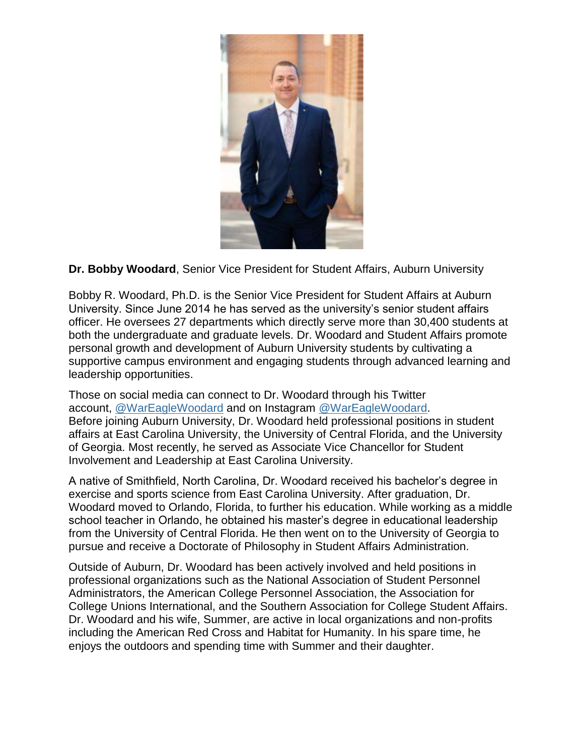

## **Dr. Bobby Woodard**, Senior Vice President for Student Affairs, Auburn University

Bobby R. Woodard, Ph.D. is the Senior Vice President for Student Affairs at Auburn University. Since June 2014 he has served as the university's senior student affairs officer. He oversees 27 departments which directly serve more than 30,400 students at both the undergraduate and graduate levels. Dr. Woodard and Student Affairs promote personal growth and development of Auburn University students by cultivating a supportive campus environment and engaging students through advanced learning and leadership opportunities.

Those on social media can connect to Dr. Woodard through his Twitter account, [@WarEagleWoodard](https://twitter.com/wareaglewoodard) and on Instagram [@WarEagleWoodard.](https://www.instagram.com/wareaglewoodard/) Before joining Auburn University, Dr. Woodard held professional positions in student affairs at East Carolina University, the University of Central Florida, and the University of Georgia. Most recently, he served as Associate Vice Chancellor for Student Involvement and Leadership at East Carolina University.

A native of Smithfield, North Carolina, Dr. Woodard received his bachelor's degree in exercise and sports science from East Carolina University. After graduation, Dr. Woodard moved to Orlando, Florida, to further his education. While working as a middle school teacher in Orlando, he obtained his master's degree in educational leadership from the University of Central Florida. He then went on to the University of Georgia to pursue and receive a Doctorate of Philosophy in Student Affairs Administration.

Outside of Auburn, Dr. Woodard has been actively involved and held positions in professional organizations such as the National Association of Student Personnel Administrators, the American College Personnel Association, the Association for College Unions International, and the Southern Association for College Student Affairs. Dr. Woodard and his wife, Summer, are active in local organizations and non-profits including the American Red Cross and Habitat for Humanity. In his spare time, he enjoys the outdoors and spending time with Summer and their daughter.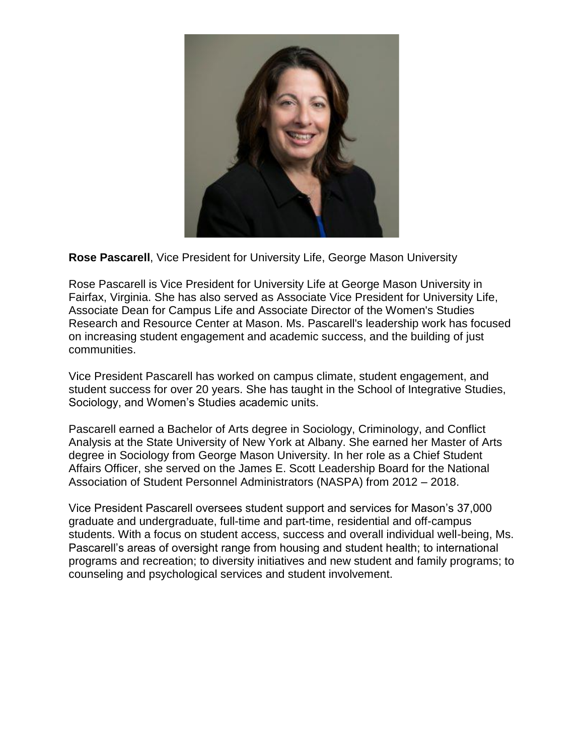

**Rose Pascarell**, Vice President for University Life, George Mason University

Rose Pascarell is Vice President for University Life at George Mason University in Fairfax, Virginia. She has also served as Associate Vice President for University Life, Associate Dean for Campus Life and Associate Director of the Women's Studies Research and Resource Center at Mason. Ms. Pascarell's leadership work has focused on increasing student engagement and academic success, and the building of just communities.

Vice President Pascarell has worked on campus climate, student engagement, and student success for over 20 years. She has taught in the School of Integrative Studies, Sociology, and Women's Studies academic units.

Pascarell earned a Bachelor of Arts degree in Sociology, Criminology, and Conflict Analysis at the State University of New York at Albany. She earned her Master of Arts degree in Sociology from George Mason University. In her role as a Chief Student Affairs Officer, she served on the James E. Scott Leadership Board for the National Association of Student Personnel Administrators (NASPA) from 2012 – 2018.

Vice President Pascarell oversees student support and services for Mason's 37,000 graduate and undergraduate, full-time and part-time, residential and off-campus students. With a focus on student access, success and overall individual well-being, Ms. Pascarell's areas of oversight range from housing and student health; to international programs and recreation; to diversity initiatives and new student and family programs; to counseling and psychological services and student involvement.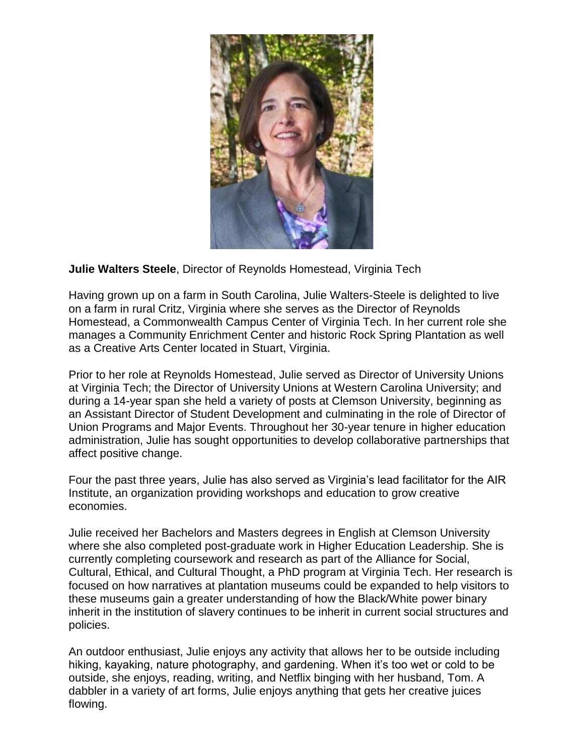

## **Julie Walters Steele**, Director of Reynolds Homestead, Virginia Tech

Having grown up on a farm in South Carolina, Julie Walters-Steele is delighted to live on a farm in rural Critz, Virginia where she serves as the Director of Reynolds Homestead, a Commonwealth Campus Center of Virginia Tech. In her current role she manages a Community Enrichment Center and historic Rock Spring Plantation as well as a Creative Arts Center located in Stuart, Virginia.

Prior to her role at Reynolds Homestead, Julie served as Director of University Unions at Virginia Tech; the Director of University Unions at Western Carolina University; and during a 14-year span she held a variety of posts at Clemson University, beginning as an Assistant Director of Student Development and culminating in the role of Director of Union Programs and Major Events. Throughout her 30-year tenure in higher education administration, Julie has sought opportunities to develop collaborative partnerships that affect positive change.

Four the past three years, Julie has also served as Virginia's lead facilitator for the AIR Institute, an organization providing workshops and education to grow creative economies.

Julie received her Bachelors and Masters degrees in English at Clemson University where she also completed post-graduate work in Higher Education Leadership. She is currently completing coursework and research as part of the Alliance for Social, Cultural, Ethical, and Cultural Thought, a PhD program at Virginia Tech. Her research is focused on how narratives at plantation museums could be expanded to help visitors to these museums gain a greater understanding of how the Black/White power binary inherit in the institution of slavery continues to be inherit in current social structures and policies.

An outdoor enthusiast, Julie enjoys any activity that allows her to be outside including hiking, kayaking, nature photography, and gardening. When it's too wet or cold to be outside, she enjoys, reading, writing, and Netflix binging with her husband, Tom. A dabbler in a variety of art forms, Julie enjoys anything that gets her creative juices flowing.